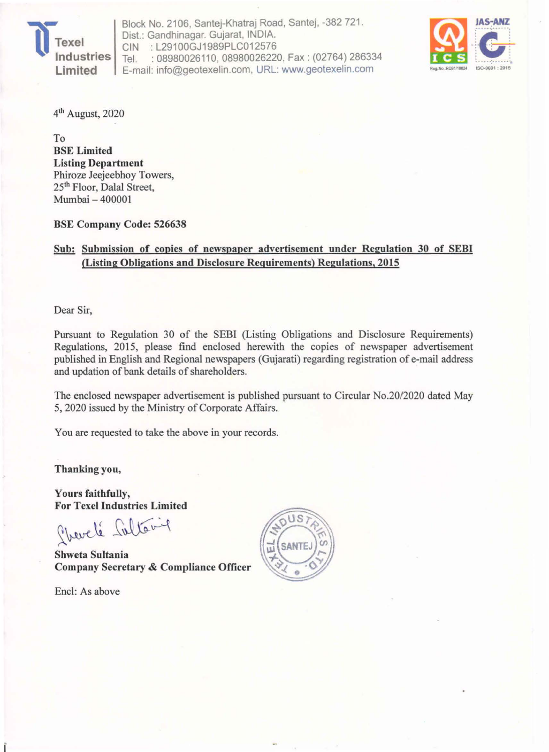

Block No. 2106, Santej-Khatraj Road, Santej. -382 721 . Dist.: Gandhinagar. Gujarat, INDIA. CIN : L29100GJ1989PLC012576<br>Tel. : 08980026110, 08980026220 : 08980026110, 08980026220, Fax: (02764) 286334 E-mail: info@geotexelin.com, URL: www.geotexelin.com



4th August, 2020

To BSE Limited Listing Department Phiroze Jeejeebhoy Towers, 25th Floor, Dalal Street, Mumbai - 400001

BSE Company Code: 526638

#### Sub: Submission of copies of newspaper advertisement under Regulation 30 of SEBI (Listing Obligations and Disclosure Requirements) Regulations, 2015

Dear Sir,

Pursuant to Regulation 30 of the SEBI (Listing Obligations and Disclosure Requirements) Regulations, 2015, please find enclosed herewith the copies of newspaper advertisement published in English and Regional newspapers (Gujarati) regarding registration of e-mail address and updation of bank details of shareholders.

The enclosed newspaper advertisement is published pursuant to Circular *NO.20/2020* dated May 5, 2020 issued by the Ministry of Corporate Affairs.

You are requested to take the above in your records.

Thanking you,

Yours faithfully, For Texe! Industries Limited

Phevel's fultoning

Shweta Sultania Company Secretary & Compliance Officer

Encl: As above

Î.

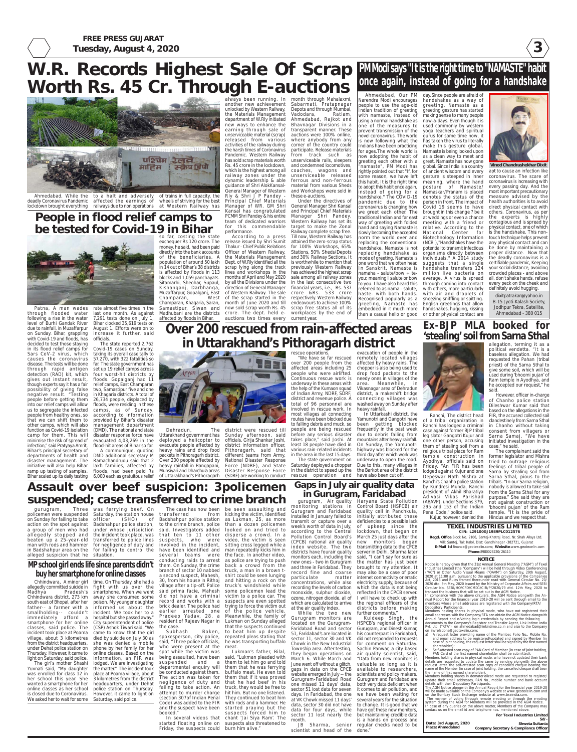**3**

**FREE PRESS GUJARAT Tuesday, August 4, 2020**

> **TEXEL INDUSTRIES LIMITED CIN: L29100GJ1989PLC012576 Regd. Office**:Block No. 2106, Santej-Khatraj Road, Nr. Shah Alloys Ltd. Vill: Santej, Tal: Kalol, Dist: Gandhinagar -382721, Gujarat **E-Mail Id**:finance@geotexelin.com; **Website**:www.geotexelin.com **Phone**:8980026220/ 26110

#### **NOTICE**

Notice is hereby given that the 31st Annual General Meeting ("AGM") of Texel Industries Limited (the "Company") will be held through Video Conferencing ("VC") or Other Audio Visual Means ("OAVM") on Saturday, 29th August, 2020 at 11:00 a.m. pursuant to the applicable provisions of the Companies Act, 2013 and Rules framed thereunder read with General Circular No. 20/ 2020 dtd. 5th May, 2020 issued by the Ministry of Corporate Affairs and SEBI Circular No. SEBI/HO/CFD/CMD1/CIR/P/2020/79 dtd. 12th May, 2020 to transact the business that will be set out in the AGM Notice. In compliance with the above circulars, the AGM Notice alongwith the Annual Report for the financial year 2019-20 will be sent through email to the members whose email addresses are registered with the Company/RTA/ Depository Participants. Members holding shares in physical mode, who have not registered their

email addresses with the Company/RTA can obtain the AGM Notice alongwith Annual Report and e-Voting login credentials by sending the following documents to the Company's Registrar and Transfer Agent, Link Intime India Pvt. Ltd. ("RTA") on ahmedabad@linkintime.co.in and also to the Company on invrelations@geotexelin.com;

The manner of voting through remote e-voting or through the e-voting system during the AGM for Members will be provided in the AGM Notice. In case of any queries on the above matter, Members of the Company may contact us on the email id and telephone nos. mentioned above.

|                        | For Texel Industries Limited           |
|------------------------|----------------------------------------|
|                        | $Sd/-$                                 |
| Date: 3rd August, 2020 | Shweta Sultania                        |
| Place: Ahmedabad       | Company Secretary & Compliance Officer |

a) A request letter providing name of the Member, Folio No., Mobile No. and email address to be registered/updated and signed by Member (in case of joint holding, the request letter shall be signed by the first named shareholder);

Self-attested scan copy of PAN Card of Member (in case of joint holding

PAN Card of the first named shareholder shall be submitted). Members holding shares in physical mode, who have not updated their bank details are requested to update the same by sending alongwith the above request letter, the self-attested scan copy of cancelled cheque bearing the name of the Member (in case of joint holding, the cancelled cheque shall bear the name of first named shareholder).

Members holding shares in dematerialized mode are requested to register/ update their email addresses, PAN No., mobile number and bank account details with their Depository Participants.

The AGM Notice alongwith the Annual Report for the financial year 2019-20 will be made available on the Company's website at www.geotexelin.com and on the Bombay Stock Exchange website at www.bseindia.com.

**PM Modi says "It is the right time to "NAMASTE" habit once again, instead of going for a handshake**

> apt to cause an infection like coronavirus. The scare of coronavirus is increasing with every passing day. And the most important precautionary measure advised by the health authorities is to avoid direct physical contact with others. Coronavirus, as per the experts is highly contagious and is spread by physical contact, one of which is the handshake. This nontouch technique helps prevent any physical contact and can be done by maintaining a proper distance. Now that the deadly coronavirus is a certifiable pandemic, Keeping your social distance, avoiding crowded places - and above all, don't shake hands, refuse every peck on the cheek and definitely avoid hugging.



Ahmedabad, While the to a halt and adversely of trains in full capacity, the affected the earnings of railways due to non operations wheels of striving for the best at Western Railway has

Ahmedabad, Our PM Narendra Modi encourages people to use the age-old Indian tradition of greeting with namaste, instead of using a normal handshake as one of the measures to prevent transmission of the novel coronavirus. The world s now following what the Indians have been practicing for ages.The whole world is now adopting the habit of greeting each other with a "namaste", PM Modi has rightly pointed out that "If, for some reason, we have left this habit. It is the right time to adopt this habit once again, instead of going for a handshake." The COVID-19 pandemic due to the coronavirus is changing how we greet each other. The traditional Indian and far east way of greeting with folded hand and saying Namaste is slowly becoming the accepted norm the world over and replacing the conventional handshake. Namaste is not replacing handshake as mode of greeting. Namaste is one word that we often hear. In Sanskrit, Namaste is namaha - salute/bow + teyou; meaning I salute or bow to you. I have also heard this referred to as nama - salute, haste- with both hands. Recognised popularly as a greeting, Namaste has embedded in it much more than a casual hello or good day.Since people are afraid of handshakes as a way of greeting, Namaste as a greeting gesture has started making sense to many people now-a-days. Even though it is used commonly by western yoga teachers and spiritual gurus for some time now, it has taken the virus to literally make this gesture global. Namaste is being looked upon as a clean way to meet and greet. Namaste has now gone global. Since India is a country of ancient wisdom and every gesture is steeped in inner meaning, where the hand posture of Namaste/ Namaskar/Pranam is placed denotes the status of the person in front. The impact of Covid 19 seems to have brought in this change ? be it at weddings or even a chance meeting with a friend or relative. According to the National Center for Biotechnology Information (NCBI),''Handshakes have the potential to transmit infectious organisms directly between individuals." A 2014 study suggests that a single handshake transfers 124 million live bacteria on average. A virus is spread through coming into contact with others, more particularly with air and droplets of sneezing sniffling or spitting. English greetings that allow handshakes, hugging, kissing or other physical contact are

dixitpatrakar@yahoo.in B-15 Jyoti-Kalash Society, Jodhpur Tekra, Satellite, Ahmedabad - 380 015

## **W.R. Records Highest Sale Of Scrap Worth Rs. 45 Cr. Through E-auctions**



deadly Coronavirus Pandemic lockdown brought everything

> Dehradun, The district were rescued till Sunday afternoon, said

always been running. In another new achievement unlocked by Western Railway, the Materials Management department of W.Rly initiated new ways to enhance the earning through sale of unserviceable material (scrap) released from various activities of the railway during the harsh times of Coronavirus Pandemic. Western Railway has sold scrap materials worth Rs. 45 crore in the lockdown, which is the highest among all railway zones under the dynamic leadership & able guidance of Shri AlokKansal-General Manager of Western Rly & Shri J P Pandey - Principal Chief Materials Manager of WR. GM Shri Kansal has congratulated PCMM Shri Pandey & his entire team of dedicated warriors for this commendable performance.

Badshahpur police station as Lukman, 25, as more to the crime branch, police than a dozen policemen said. Investigators added looked on and tried to suspects, who were video, the victim is seen branch of sector 10 nabbed truck, a man in a brown tvillage after a tip-off. Police truck's windshield while record and works with a suspects are even spotted brick dealer. The police had trying to force the victim out earlier arrested one of the police vehicle. Pradeep Yadav, 28, a Meanwhile, the family of resident of Rajeev Nagar in Lukman on Sunday alleged be seen assaulting and kicking the victim, identified disperse a crowd. In a sitting cross legged while a man repeatedly kicks him in the face. In another video, as police are trying to push back a crowd from the shirt could be seen lunging and hitting a rock on the some policemen lead the victim to a police car. The that the suspects continued Boken, to beat him up despite

conducting raids to arrest them. On Sunday, the crime a second suspect, Mahesh, 30, from his house in Rithoj said prima facie, Mahesh did not have a criminal the case. Subhash

month through Mahalaxmi, Sabarmati, Pratapnagar Depots and through Mumbai, Vadodara, Ratlam, Ahmedabad, Rajkot and Bhavnagar Divisions in a transparent manner. These auctions were 100% online, where anybody from any corner of the country could participate. Release materials from track such as unserviceable rails, sleepers and condemned locomotives, coaches, wagons and unserviceable released ferrous and non-ferrous material from various Sheds and Workshops were sold in these e-auctions. Under the directives of

General Manager Shri Kansal and Principal Chief Materials Manager Shri Pandey, Western Railway has set its target to make the Zonal Railway complete scrap free. Till now, Western Railway has attained the zero-scrap status for 100% Workshops, 65% Stations, 50% Sheds/Depots and 30% Railway Sections. It is worthwhile to mention that previously Western Railway has achieved the highest scrap sale among all railway zones in the last consecutive two financial years, i.e., Rs. 537 crore &Rs. 533 crore respectively. Western Railway endeavours to achieve 100% scrap free status all of its

## **People in flood relief camps to be tested for Covid-19 in Bihar**



According to a press release issued by Shri Sumit Thakur - Chief Public Relations Officer of Western Railway, the Materials Management population of around 50 lakh Dept. of W.Rly identified all the scrap lying along the track lines and workshops in the months of April and May 2020 by all the Divisions under the direction of General Manager of Western Railway. The sale of the scrap started in the month of June 2020 and till now sold scrap worth Rs. 45 Madhubani are the districts crore. The dept. held e- workplaces by the end of auctions two times every current year. so far, costing the state exchequer Rs 120 crore. The money, he said, had been paid directly into the bank accounts of the beneficiaries. A in 14 out of Bihar's 38 districts is affected by floods in 113 blocks and 1,059 panchayats. Sitamarhi, Sheohar, Supaul, Kishanganj, Darbhanga, Muzaffarpur, Gopalganj, East Champaran, West Champaran, Khagaria, Saran, Samastipur, Siwan and affected by floods in Bihar.

Patna, A man wades through flooded water following a rise in the water level of Burhi Gandak River due to rainfall, in Muzaffarpur on Sunday. Bihar, grappling with Covid-19 and floods, has decided to test those staying in its flood relief camps for Sars CoV-2 virus, which causes the coronavirus disease. The tests will be done through rapid antigen detection (RAD) kit, which gives out instant result, though experts say it has a fair possibility of giving false negative result. "Testing people before getting them into our relief camps will allow us to segregate the infected people from healthy ones, so that we can shift them to function as Covid-19 isolation (DMD). The national and state camp for them. This will minimise the risk of spread of evacuated 4,03,269 in the infection," said Pratyaya Amrit, Bihar's principal secretary of departments of health and disaster management. The initiative will also help Bihar lakh families, affected by ramp up testing of samples. floods, had been paid Rs Bihar scaled up its daily testing 6,000 each as gratuitous relief

rate almost five times in the last one month. As against 7,291 tests done on July 1, Bihar clocked 35,619 tests on August 1. Efforts were on to increase it further, said officials.

other camps, which will also management department The state reported 2,762 Covid-19 cases on Sunday, taking its overall case tally to 57,270, with 322 fatalities so far. The state government has set up 19 relief camps across four worst-hit districts by floods. Gopalganj had 11 relief camps, East Champaran two, Samastipur five and one in Khagaria districts. A total of 26,734 people, displaced by floods, were residing in these camps, as of Sunday, according to information provided by Bihar's disaster

disaster response force have

flood-hit areas of Bihar so far. A communique, quoting DMD additional secretary M Ramachandrudu said that 2

Yuvnati said, "My daughter was enrolled for class 12 in her school this year. She wanted a smartphone for her online classes as her school is closed due to Coronavirus. We asked her to wait for some Saturday, said police. **Ex-BJP MLA booked for**

allegation, terming it as a political vendetta. "It is a baseless allegation. We had requested the Pahan (tribal priest) of the Sarna Sthal to give some soil, which will be used during 'bhoomi pujan' of Ram temple in Ayodhya, and he accepted our request," he said.

Ranchi, The district head of a tribal organization in Ranchi has lodged a criminal case against former BJP tribal legislator Gangotri Kujur and one other person, accusing them of stealing soil from a religious tribal place for Ram temple construction in Ayodhya, officials said on Friday. "An FIR has been lodged against Kujur and one Depeswar Nath Mishra at Ranchi's Chanho police station by Kundresi Munda, Ranchi president of Akhil Bharatiya Adivasi Vikas Parishad (ABAVP), under Sections 379, 295 and 153 of the Indian Penal Code," police said. Kujur, however, denied the Hindus and we respect that. However, officer in-charge of Chanho police station Dileshwar Kumar said that based on the allegations in the FIR, the accused collected soil clandestinely from Sarna Sthal in Chanho without taking consent from villagers or Sarna Samaj. "We have initiated investigation in the case," he said. The complainant said the former legislator and Mishra tried to outrage religious feelings of tribal people of Sarna by stealing soil from Sarna Sthal, pious to the tribals. "In our Sarna religion, nobody is allowed to take soil from the Sarna Sthal for any purpose." She said they are not against construction or 'bhoomi pujan' of the Ram temple. "It is the pride of



## **Over 200 rescued from rain-affected areas in Uttarakhand's Pithoragarh district**



Uttarakhand government has

heavy rainfall in Bangapani,

deployed a helicopter to officials. Girija Shankar Joshi, evacuate people affected by district information officer, heavy rains and drop food Pithoragarh, said that packets in Pithoragarh district. different teams from Army, Over 200 people affected by National Disaster Response Munsiyari and Dharchula areas Disaster Response Force of Uttarakhand's Pithoragarh (SDRF) are working to conduct Force (NDRF), and State

rescue operations. "We have so far rescued over 200 people from the affected areas including 25 people who were airlifted. Continuous rescue work is

underway in these areas with the help of the Kumaon squad of Indian Army, NDRF, SDRF, district and revenue police. A total of 96 personnel are involved in rescue work. In most villages all connecting routes have been blocked due

to falling debris and muck, so people are being rescued frequently in the past week before any serious disaster due to debris falling from In Uttarkashi district, the Yamunotri and Gangotri have been getting blocked

evacuation of people in the remotely located villages affected by heavy rains. The chopper is also being used to drop food packets to the needy ones in villages of the

takes place," said Joshi. At least 18 people have died in various rain-related incidents in the area in the last 15 days. The state government on Saturday deployed a chopper in the district to speed up the rescue operation and have also been cut off.

Vikasnagar area of Dehradun district, a makeshift bridge connecting villages was washed away on Sunday after

heavy rainfall.

mountains after heavy rainfall. On Sunday, the Yamunotri

highway was blocked for the third day after which work was underway to open the road. Due to this, many villages in the Barkot area of the district

**Assault over beef suspicion: 3policemen**

**suspended; case transferred to crime branch** gurugram, Three policemen were suspended on Sunday for failing to take officer (SHO) of action on the spot against Badshahpur police station, a group of men who had allegedly stopped and beaten up a 25-year-old transferred to police lines man with rods and hammer for negligence of duty and in Badshahpur area on the for failing to control the alleged suspicion that he situation. was ferrying beef. On Saturday, the station house under whose jurisdiction the incident took place, was

The case has now been transferred from that ten to 11 other involved in the incident, have been identified and several teams were

> spokesperson, city police, said, "Three police officials, who were present at the spot while the victim was being assaulted, have been suspended and a be conducted against them. The action was taken for failing to take action. An attempt to murder charge (section 307of Indian Penal and the suspect have been booked."

departmental enquiry will them that he was ferrying negligence of duty and that he had beef in his Code) was added to the FIR with rods and a hammer. He In several videos that chant 'Jai Siya Ram'. The Lukman's father, Bilal, said, "Lukman pleaded with them to let him go and told buffalo meat. He even told them that if it was proved truck, they would be free to hit him. But no one listened. They continued to beat him started praying but the suspects forced him to

started floating online on suspects also threatened to Friday, the suspects could burn him alive."

repeated pleas stating that he was transporting buffalo meat.

### **Gaps in July air quality data in Gurugram, Faridabad**

gurugram, Air quality Haryana State Pollution monitoring stations in Control Board (HSPCB) air Gurugram and Faridabad installed in January failed to transmit or capture over a week's worth of data in July, according to the Central (CPCB) national air quality index website. The two districts have fourair quality monitors each, including the new ones - two in Gurugram and three in Faridabad. They record fine and coarse particulate matter concentrations, while also recording the levels of carbon monoxide, sulphur dioxide, ozone, nitrogen dioxide, all of which are calculated to arrive at the air quality index. While the two new

Pollution Control Board's March 25 just days after the quality cell in Panchkula, initially attributed these deficiencies to a possible lack of upkeep since the lockdown, that began on new monitors began transmitting data to the CPCB server in Delhi. Sharma later said, "I can't say for sure as the matter has just been

Gurugram monitors are located on the Gurugram-Faridabad Road and sector 51, Faridabad's are located in sector 11, sector 30 and VK Chowk in the New Industrial Township area. After testing, they began operations on March 6. While March and June went off without a glitch, gaps in data on the CPCB website emerged in July -- the Gurugram-Faridabad Road one missed 11 days' data, sector 51 lost data for seven days. In Faridabad, the one at VK Chowk missed 11 days' data, sector 30 did not have data for four days, while sector 11 lost nearly the month.

scientist and head of the

brought to my attention. It may also be a case of poor internet connectivity or erratic electricity supply, because of

which the data is not being reflected in the CPCB server. I will have to check up with the regional officers of the districts before making

further comments." Kuldeep Singh, the

HSPCB's regional officer in Gurugram, and Dinesh Kumar, his counterpart in Faridabad, did not responded to requests for comment on Saturday. Sachin Panwar, a city based air quality scientist, said, "Data from new monitors is valuable so long as it is available to researchers, scientists and policy makers. Gurugram and Faridabad are both very data deficient when it comes to air pollution, and we have been waiting for several years for the situation to change. It is good that we have got these new monitors, but maintaining credible data is a hands on process and

JB Sharma, senior regular checks need to be done.'

### **MP school girl ends life since parents didn't buy her smartphone for online classes**

allegedly committed suicide in fight with us over the Madhya Pradesh's smartphone. When we went Chhindwara district, 273 km away she consumed some south east of Bhopal, after her father-- a farmer with a informed us about the smallholding-- couldn't incident. We took her to a immediately afford a hospital but she passed away." smartphone for her online City superintendent of police classes, said police. The incident took place at Poama came to know that the girl village, about 3 kilometres died by suicide on July 30 as from the district headquarters, under Dehat police station on Thursday. However, it came to online classes. Based on the light on Saturday, said police. The girl's mother Shashi

Chhindwara, A minor girl time. On Thursday, she had a poison. My younger daughter (CSP) Ashok Tiwari said, "We she was denied a mobile phone by her family for her information, an FIR was lodged. We are investigating the matter." The incident took place at Poama village, about 3 kilometres from the district headquarters, under Dehat police station on Thursday. However, it came to light on